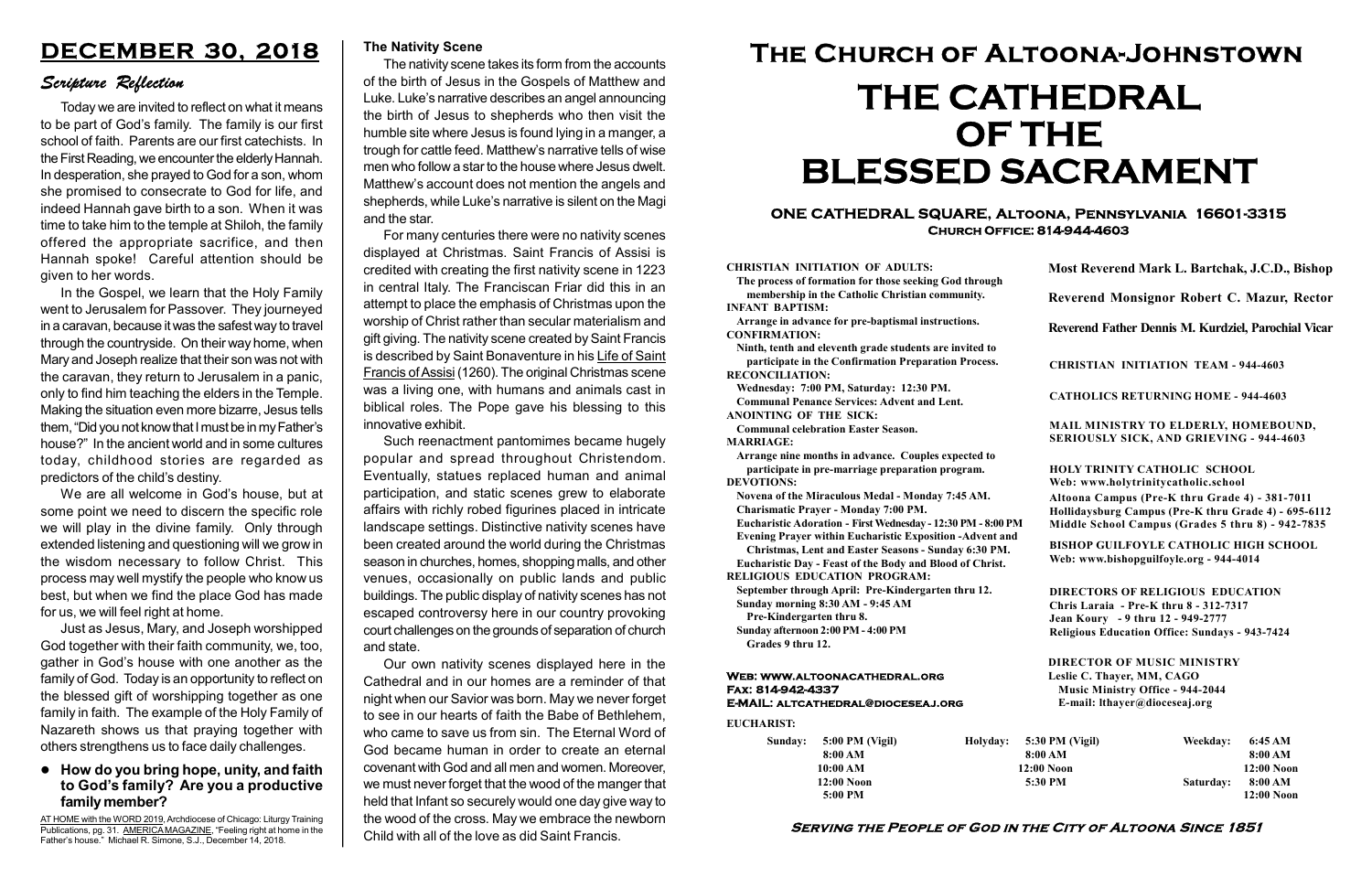#### Serving the People of God in the City of Altoona Since 1851

Sunday: 5:00 PM (Vigil) 8:00 AM 10:00 AM 12:00 Noon 5:00 PM

Holyday:

#### Web: www.altoonacathedral.org Fax: 814-942-4337 E-MAIL: altcathedral@dioceseaj.org

EUCHARIST:

#### CHRISTIAN INITIATION OF ADULTS:

The process of formation for those seeking God through membership in the Catholic Christian community. INFANT BAPTISM:

Arrange in advance for pre-baptismal instructions. CONFIRMATION:

Ninth, tenth and eleventh grade students are invited to participate in the Confirmation Preparation Process. RECONCILIATION:

Wednesday: 7:00 PM, Saturday: 12:30 PM. Communal Penance Services: Advent and Lent. ANOINTING OF THE SICK:

Communal celebration Easter Season.

MARRIAGE:

Arrange nine months in advance. Couples expected to participate in pre-marriage preparation program. DEVOTIONS:

Novena of the Miraculous Medal - Monday 7:45 AM.

Charismatic Prayer - Monday 7:00 PM. Eucharistic Adoration - First Wednesday - 12:30 PM - 8:00 PM

Evening Prayer within Eucharistic Exposition -Advent and

Christmas, Lent and Easter Seasons - Sunday 6:30 PM.

|                         | Most Reverend Mark L. Bartchak, J.C.D., Bishop<br>Reverend Monsignor Robert C. Mazur, Rector                                                                                    |           |                         |
|-------------------------|---------------------------------------------------------------------------------------------------------------------------------------------------------------------------------|-----------|-------------------------|
|                         |                                                                                                                                                                                 |           |                         |
|                         | Reverend Father Dennis M. Kurdziel, Parochial Vicar                                                                                                                             |           |                         |
|                         | <b>CHRISTIAN INITIATION TEAM - 944-4603</b>                                                                                                                                     |           |                         |
|                         | <b>CATHOLICS RETURNING HOME - 944-4603</b>                                                                                                                                      |           |                         |
|                         | MAIL MINISTRY TO ELDERLY, HOMEBOUND,<br><b>SERIOUSLY SICK, AND GRIEVING - 944-4603</b>                                                                                          |           |                         |
|                         | <b>HOLY TRINITY CATHOLIC SCHOOL</b><br>Web: www.holytrinitycatholic.school                                                                                                      |           |                         |
| М                       | Altoona Campus (Pre-K thru Grade 4) - 381-7011<br>Hollidaysburg Campus (Pre-K thru Grade 4) - 695-6112<br>Middle School Campus (Grades 5 thru 8) - 942-7835                     |           |                         |
| ł                       | <b>BISHOP GUILFOYLE CATHOLIC HIGH SCHOOL</b><br>Web: www.bishopguilfoyle.org - 944-4014                                                                                         |           |                         |
|                         | <b>DIRECTORS OF RELIGIOUS EDUCATION</b><br>Chris Laraia - Pre-K thru 8 - 312-7317<br>Jean Koury - 9 thru 12 - 949-2777<br><b>Religious Education Office: Sundays - 943-7424</b> |           |                         |
|                         | <b>DIRECTOR OF MUSIC MINISTRY</b><br>Leslie C. Thayer, MM, CAGO<br><b>Music Ministry Office - 944-2044</b><br>E-mail: lthayer@dioceseaj.org                                     |           |                         |
| 5:30 PM (Vigil)         |                                                                                                                                                                                 | Weekday:  | 6:45 AM                 |
| 8:00 AM<br>$12:00$ Noon |                                                                                                                                                                                 |           | 8:00 AM<br>12:00 Noon   |
|                         | 5:30 PM                                                                                                                                                                         | Saturday: | 8:00 AM<br>$12:00$ Noon |
|                         |                                                                                                                                                                                 |           |                         |

Eucharistic Day - Feast of the Body and Blood of Christ. RELIGIOUS EDUCATION PROGRAM:

September through April: Pre-Kindergarten thru 12. Sunday morning 8:30 AM - 9:45 AM

Pre-Kindergarten thru 8.

Sunday afternoon 2:00 PM - 4:00 PM Grades 9 thru 12.

#### ONE CATHEDRAL SQUARE, Altoona, Pennsylvania 16601-3315 Church Office: 814-944-4603

# The Church of Altoona-Johnstown THE CATHEDRAL OF THE BLESSED SACRAMENT

#### The Nativity Scene

The nativity scene takes its form from the accounts of the birth of Jesus in the Gospels of Matthew and Luke. Luke's narrative describes an angel announcing the birth of Jesus to shepherds who then visit the humble site where Jesus is found lying in a manger, a trough for cattle feed. Matthew's narrative tells of wise men who follow a star to the house where Jesus dwelt. Matthew's account does not mention the angels and shepherds, while Luke's narrative is silent on the Magi and the star.

For many centuries there were no nativity scenes displayed at Christmas. Saint Francis of Assisi is credited with creating the first nativity scene in 1223 in central Italy. The Franciscan Friar did this in an attempt to place the emphasis of Christmas upon the worship of Christ rather than secular materialism and gift giving. The nativity scene created by Saint Francis is described by Saint Bonaventure in his Life of Saint Francis of Assisi (1260). The original Christmas scene was a living one, with humans and animals cast in biblical roles. The Pope gave his blessing to this innovative exhibit.

Such reenactment pantomimes became hugely popular and spread throughout Christendom. Eventually, statues replaced human and animal participation, and static scenes grew to elaborate affairs with richly robed figurines placed in intricate landscape settings. Distinctive nativity scenes have been created around the world during the Christmas season in churches, homes, shopping malls, and other venues, occasionally on public lands and public buildings. The public display of nativity scenes has not escaped controversy here in our country provoking court challenges on the grounds of separation of church and state.

Our own nativity scenes displayed here in the Cathedral and in our homes are a reminder of that night when our Savior was born. May we never forget to see in our hearts of faith the Babe of Bethlehem, who came to save us from sin. The Eternal Word of God became human in order to create an eternal covenant with God and all men and women. Moreover, we must never forget that the wood of the manger that held that Infant so securely would one day give way to the wood of the cross. May we embrace the newborn Child with all of the love as did Saint Francis.

#### How do you bring hope, unity, and faith to God's family? Are you a productive family member?

# DECEMBER 30, 2018

#### Scripture Reflection

AT HOME with the WORD 2019, Archdiocese of Chicago: Liturgy Training Publications, pg. 31. AMERICA MAGAZINE, "Feeling right at home in the Father's house." Michael R. Simone, S.J., December 14, 2018.

Today we are invited to reflect on what it means to be part of God's family. The family is our first school of faith. Parents are our first catechists. In the First Reading, we encounter the elderly Hannah. In desperation, she prayed to God for a son, whom she promised to consecrate to God for life, and indeed Hannah gave birth to a son. When it was time to take him to the temple at Shiloh, the family offered the appropriate sacrifice, and then Hannah spoke! Careful attention should be given to her words.

In the Gospel, we learn that the Holy Family went to Jerusalem for Passover. They journeyed in a caravan, because it was the safest way to travel through the countryside. On their way home, when Mary and Joseph realize that their son was not with the caravan, they return to Jerusalem in a panic, only to find him teaching the elders in the Temple. Making the situation even more bizarre, Jesus tells them, "Did you not know that I must be in my Father's house?" In the ancient world and in some cultures today, childhood stories are regarded as predictors of the child's destiny.

We are all welcome in God's house, but at some point we need to discern the specific role we will play in the divine family. Only through extended listening and questioning will we grow in the wisdom necessary to follow Christ. This process may well mystify the people who know us best, but when we find the place God has made for us, we will feel right at home.

Just as Jesus, Mary, and Joseph worshipped God together with their faith community, we, too, gather in God's house with one another as the family of God. Today is an opportunity to reflect on the blessed gift of worshipping together as one family in faith. The example of the Holy Family of Nazareth shows us that praying together with others strengthens us to face daily challenges.